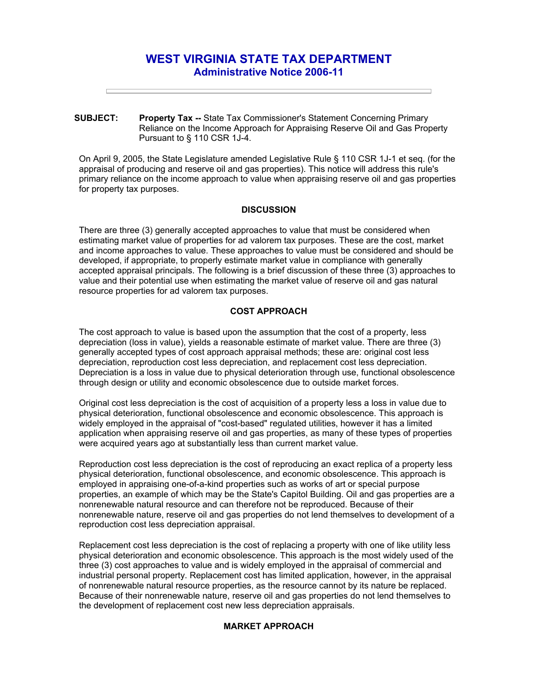# **WEST VIRGINIA STATE TAX DEPARTMENT Administrative Notice 2006-11**

**SUBJECT: Property Tax --** State Tax Commissioner's Statement Concerning Primary Reliance on the Income Approach for Appraising Reserve Oil and Gas Property Pursuant to § 110 CSR 1J-4.

On April 9, 2005, the State Legislature amended Legislative Rule § 110 CSR 1J-1 et seq. (for the appraisal of producing and reserve oil and gas properties). This notice will address this rule's primary reliance on the income approach to value when appraising reserve oil and gas properties for property tax purposes.

## **DISCUSSION**

There are three (3) generally accepted approaches to value that must be considered when estimating market value of properties for ad valorem tax purposes. These are the cost, market and income approaches to value. These approaches to value must be considered and should be developed, if appropriate, to properly estimate market value in compliance with generally accepted appraisal principals. The following is a brief discussion of these three (3) approaches to value and their potential use when estimating the market value of reserve oil and gas natural resource properties for ad valorem tax purposes.

## **COST APPROACH**

The cost approach to value is based upon the assumption that the cost of a property, less depreciation (loss in value), yields a reasonable estimate of market value. There are three (3) generally accepted types of cost approach appraisal methods; these are: original cost less depreciation, reproduction cost less depreciation, and replacement cost less depreciation. Depreciation is a loss in value due to physical deterioration through use, functional obsolescence through design or utility and economic obsolescence due to outside market forces.

Original cost less depreciation is the cost of acquisition of a property less a loss in value due to physical deterioration, functional obsolescence and economic obsolescence. This approach is widely employed in the appraisal of "cost-based" regulated utilities, however it has a limited application when appraising reserve oil and gas properties, as many of these types of properties were acquired years ago at substantially less than current market value.

Reproduction cost less depreciation is the cost of reproducing an exact replica of a property less physical deterioration, functional obsolescence, and economic obsolescence. This approach is employed in appraising one-of-a-kind properties such as works of art or special purpose properties, an example of which may be the State's Capitol Building. Oil and gas properties are a nonrenewable natural resource and can therefore not be reproduced. Because of their nonrenewable nature, reserve oil and gas properties do not lend themselves to development of a reproduction cost less depreciation appraisal.

Replacement cost less depreciation is the cost of replacing a property with one of like utility less physical deterioration and economic obsolescence. This approach is the most widely used of the three (3) cost approaches to value and is widely employed in the appraisal of commercial and industrial personal property. Replacement cost has limited application, however, in the appraisal of nonrenewable natural resource properties, as the resource cannot by its nature be replaced. Because of their nonrenewable nature, reserve oil and gas properties do not lend themselves to the development of replacement cost new less depreciation appraisals.

#### **MARKET APPROACH**